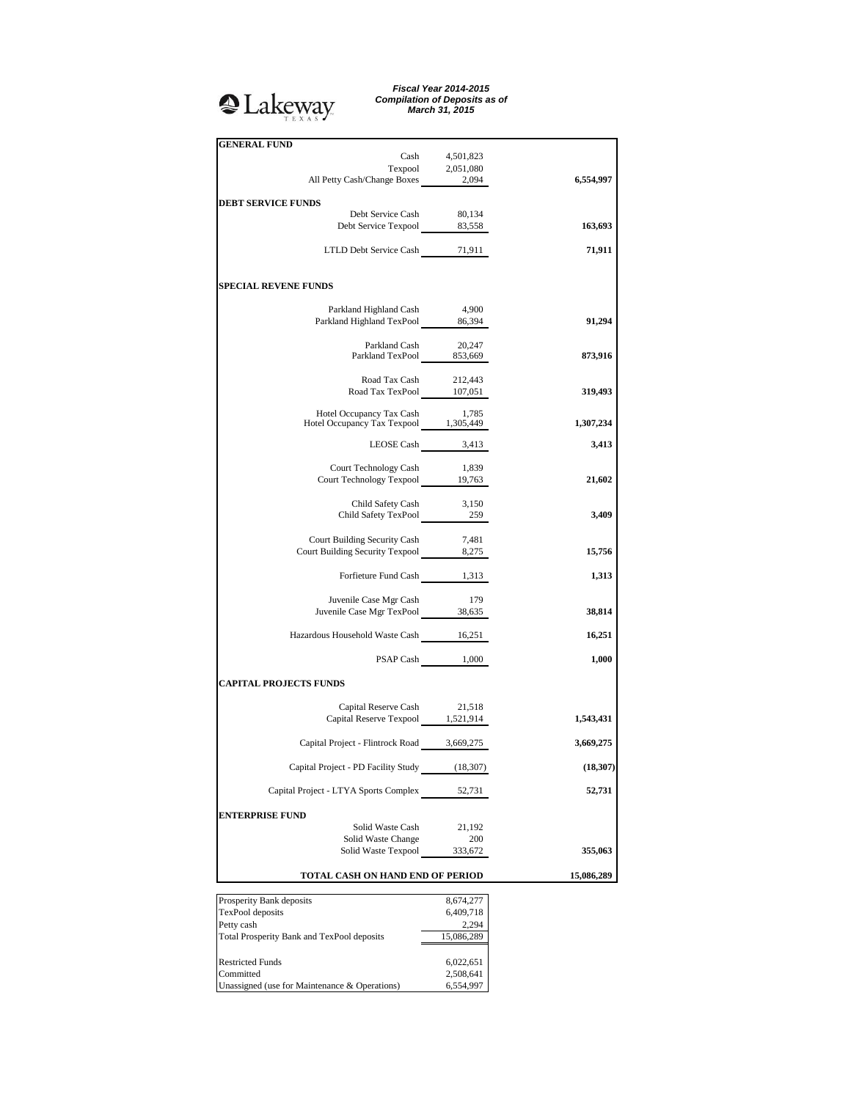# <sup>2</sup>Lakeway

*Fiscal Year 2014-2015 Compilation of Deposits as of March 31, 2015*

| Cash                                                                    | 4,501,823           |            |
|-------------------------------------------------------------------------|---------------------|------------|
| Texpool 2,051,080<br>All Petty Cash/Change Boxes 2,094                  |                     | 6,554,997  |
|                                                                         |                     |            |
| <b>DEBT SERVICE FUNDS</b><br>Debt Service Cash                          | 80,134              |            |
| Debt Service Texpool 83,558                                             |                     | 163,693    |
| LTLD Debt Service Cash 71,911                                           |                     | 71,911     |
|                                                                         |                     |            |
| <b>SPECIAL REVENE FUNDS</b>                                             |                     |            |
|                                                                         |                     |            |
| Parkland Highland Cash                                                  | 4,900               |            |
| Parkland Highland TexPool 86,394                                        |                     | 91,294     |
|                                                                         |                     |            |
| Parkland Cash 20,247<br>Parkland TexPool 853,669                        |                     | 873,916    |
|                                                                         |                     |            |
| Road Tax Cash 212,443<br>Road Tax TexPool 107,051                       |                     | 319,493    |
|                                                                         |                     |            |
| Hotel Occupancy Tax Cash 1,785<br>Hotel Occupancy Tax Texpool 1,305,449 |                     | 1,307,234  |
|                                                                         |                     |            |
|                                                                         | LEOSE Cash 3,413    | 3,413      |
| Court Technology Cash                                                   | 1,839               |            |
| Court Technology Texpool 19,763                                         |                     | 21,602     |
|                                                                         |                     |            |
| Child Safety Cash 3,150<br>Child Safety TexPool 259                     |                     | 3,409      |
|                                                                         |                     |            |
| Court Building Security Cash                                            | 7,481               |            |
| Court Building Security Texpool 8,275                                   |                     | 15,756     |
| Forfieture Fund Cash 1,313                                              |                     | 1,313      |
|                                                                         |                     |            |
| Juvenile Case Mgr Cash                                                  | 179                 |            |
| Juvenile Case Mgr TexPool 38,635                                        |                     | 38,814     |
| Hazardous Household Waste Cash 16,251                                   |                     | 16,251     |
|                                                                         | PSAP Cash 1,000     | 1,000      |
|                                                                         |                     |            |
| <b>CAPITAL PROJECTS FUNDS</b>                                           |                     |            |
| Capital Reserve Cash 21,518                                             |                     |            |
| Capital Reserve Texpool 1,521,914                                       |                     | 1,543,431  |
| Capital Project - Flintrock Road 3,669,275                              |                     | 3,669,275  |
|                                                                         |                     |            |
| Capital Project - PD Facility Study                                     | (18, 307)           | (18, 307)  |
| Capital Project - LTYA Sports Complex                                   | 52,731              | 52,731     |
|                                                                         |                     |            |
| ENTERPRISE FUND<br>Solid Waste Cash                                     |                     |            |
| Solid Waste Change                                                      | 21,192<br>200       |            |
| Solid Waste Texpool                                                     | 333,672             | 355,063    |
| TOTAL CASH ON HAND END OF PERIOD                                        |                     | 15,086,289 |
|                                                                         |                     |            |
| Prosperity Bank deposits                                                | 8,674,277           |            |
| TexPool deposits                                                        | 6,409,718           |            |
| Petty cash<br>Total Prosperity Bank and TexPool deposits                | 2,294<br>15,086,289 |            |
|                                                                         |                     |            |

Restricted Funds 6,022,651 Committed 2,508,641 Restricted Funds 6,022,651<br>
Committed 2,508,641<br>
Unassigned (use for Maintenance & Operations) 6,554,997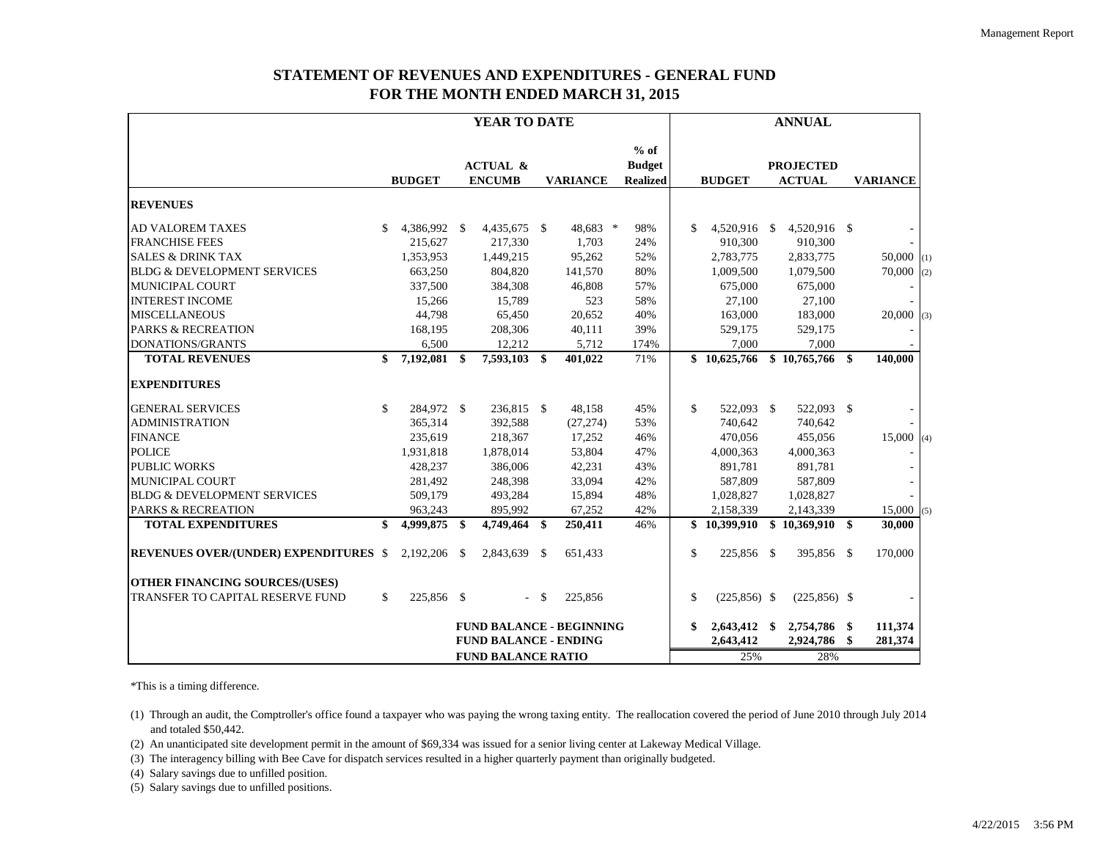# **STATEMENT OF REVENUES AND EXPENDITURES - GENERAL FUND FOR THE MONTH ENDED MARCH 31, 2015**

|                                              | YEAR TO DATE              |               |      |                                      |               | <b>ANNUAL</b>                   |  |                                            |               |                |  |                                   |    |                 |     |
|----------------------------------------------|---------------------------|---------------|------|--------------------------------------|---------------|---------------------------------|--|--------------------------------------------|---------------|----------------|--|-----------------------------------|----|-----------------|-----|
|                                              |                           | <b>BUDGET</b> |      | <b>ACTUAL &amp;</b><br><b>ENCUMB</b> |               | <b>VARIANCE</b>                 |  | $%$ of<br><b>Budget</b><br><b>Realized</b> |               | <b>BUDGET</b>  |  | <b>PROJECTED</b><br><b>ACTUAL</b> |    | <b>VARIANCE</b> |     |
| <b>REVENUES</b>                              |                           |               |      |                                      |               |                                 |  |                                            |               |                |  |                                   |    |                 |     |
| <b>AD VALOREM TAXES</b>                      | \$                        | 4,386,992 \$  |      | 4,435,675 \$                         |               | 48,683 *                        |  | 98%                                        | \$            | 4,520,916 \$   |  | 4,520,916 \$                      |    |                 |     |
| <b>FRANCHISE FEES</b>                        |                           | 215,627       |      | 217,330                              |               | 1,703                           |  | 24%                                        |               | 910,300        |  | 910,300                           |    |                 |     |
| <b>SALES &amp; DRINK TAX</b>                 |                           | 1,353,953     |      | 1,449,215                            |               | 95,262                          |  | 52%                                        |               | 2,783,775      |  | 2,833,775                         |    | $50,000$ (1)    |     |
| <b>BLDG &amp; DEVELOPMENT SERVICES</b>       |                           | 663,250       |      | 804,820                              |               | 141,570                         |  | 80%                                        |               | 1,009,500      |  | 1,079,500                         |    | 70,000          | (2) |
| <b>MUNICIPAL COURT</b>                       |                           | 337,500       |      | 384,308                              |               | 46,808                          |  | 57%                                        |               | 675,000        |  | 675,000                           |    |                 |     |
| <b>INTEREST INCOME</b>                       |                           | 15,266        |      | 15,789                               |               | 523                             |  | 58%                                        |               | 27,100         |  | 27,100                            |    |                 |     |
| <b>MISCELLANEOUS</b>                         |                           | 44,798        |      | 65,450                               |               | 20,652                          |  | 40%                                        |               | 163,000        |  | 183,000                           |    | 20,000          | (3) |
| <b>PARKS &amp; RECREATION</b>                |                           | 168,195       |      | 208,306                              |               | 40,111                          |  | 39%                                        |               | 529,175        |  | 529,175                           |    |                 |     |
| <b>DONATIONS/GRANTS</b>                      |                           | 6,500         |      | 12,212                               |               | 5,712                           |  | 174%                                       |               | 7,000          |  | 7,000                             |    |                 |     |
| <b>TOTAL REVENUES</b>                        | \$                        | 7,192,081     | \$   | 7,593,103 \$                         |               | 401,022                         |  | 71%                                        |               | \$10,625,766   |  | \$10,765,766                      | \$ | 140,000         |     |
| <b>EXPENDITURES</b>                          |                           |               |      |                                      |               |                                 |  |                                            |               |                |  |                                   |    |                 |     |
| <b>GENERAL SERVICES</b>                      | \$                        | 284,972 \$    |      | 236,815 \$                           |               | 48,158                          |  | 45%                                        | \$            | 522,093 \$     |  | 522,093 \$                        |    |                 |     |
| <b>ADMINISTRATION</b>                        |                           | 365,314       |      | 392,588                              |               | (27, 274)                       |  | 53%                                        |               | 740,642        |  | 740,642                           |    |                 |     |
| <b>FINANCE</b>                               |                           | 235,619       |      | 218,367                              |               | 17,252                          |  | 46%                                        |               | 470,056        |  | 455,056                           |    | 15,000(4)       |     |
| <b>POLICE</b>                                |                           | 1,931,818     |      | 1,878,014                            |               | 53,804                          |  | 47%                                        |               | 4,000,363      |  | 4,000,363                         |    |                 |     |
| <b>PUBLIC WORKS</b>                          |                           | 428,237       |      | 386,006                              |               | 42,231                          |  | 43%                                        |               | 891,781        |  | 891,781                           |    |                 |     |
| MUNICIPAL COURT                              |                           | 281,492       |      | 248,398                              |               | 33,094                          |  | 42%                                        |               | 587,809        |  | 587,809                           |    |                 |     |
| <b>BLDG &amp; DEVELOPMENT SERVICES</b>       |                           | 509,179       |      | 493,284                              |               | 15,894                          |  | 48%                                        |               | 1,028,827      |  | 1,028,827                         |    |                 |     |
| <b>PARKS &amp; RECREATION</b>                |                           | 963,243       |      | 895,992                              |               | 67,252                          |  | 42%                                        |               | 2,158,339      |  | 2,143,339                         |    | 15,000(5)       |     |
| <b>TOTAL EXPENDITURES</b>                    | \$                        | 4,999,875     | \$.  | 4,749,464 \$                         |               | 250,411                         |  | 46%                                        |               | \$10,399,910   |  | \$10,369,910                      | \$ | 30,000          |     |
| <b>REVENUES OVER/(UNDER) EXPENDITURES \$</b> |                           | 2,192,206     | - \$ | 2,843,639 \$                         |               | 651,433                         |  |                                            | \$            | 225,856 \$     |  | 395,856 \$                        |    | 170,000         |     |
| <b>OTHER FINANCING SOURCES/(USES)</b>        |                           |               |      |                                      |               |                                 |  |                                            |               |                |  |                                   |    |                 |     |
| TRANSFER TO CAPITAL RESERVE FUND             | \$                        | 225,856 \$    |      | $\sim$                               | <sup>\$</sup> | 225,856                         |  |                                            | $\mathcal{S}$ | $(225,856)$ \$ |  | $(225, 856)$ \$                   |    |                 |     |
|                                              |                           |               |      |                                      |               | <b>FUND BALANCE - BEGINNING</b> |  |                                            | \$            | 2,643,412 \$   |  | 2,754,786 \$                      |    | 111,374         |     |
|                                              |                           |               |      | <b>FUND BALANCE - ENDING</b>         |               |                                 |  |                                            |               | 2,643,412      |  | 2,924,786                         | \$ | 281,374         |     |
|                                              | <b>FUND BALANCE RATIO</b> |               |      |                                      |               |                                 |  |                                            |               | 25%            |  | 28%                               |    |                 |     |

\*This is a timing difference.

(1) Through an audit, the Comptroller's office found a taxpayer who was paying the wrong taxing entity. The reallocation covered the period of June 2010 through July 2014 and totaled \$50,442.

(2) An unanticipated site development permit in the amount of \$69,334 was issued for a senior living center at Lakeway Medical Village.

(3) The interagency billing with Bee Cave for dispatch services resulted in a higher quarterly payment than originally budgeted.

(4) Salary savings due to unfilled position.

(5) Salary savings due to unfilled positions.